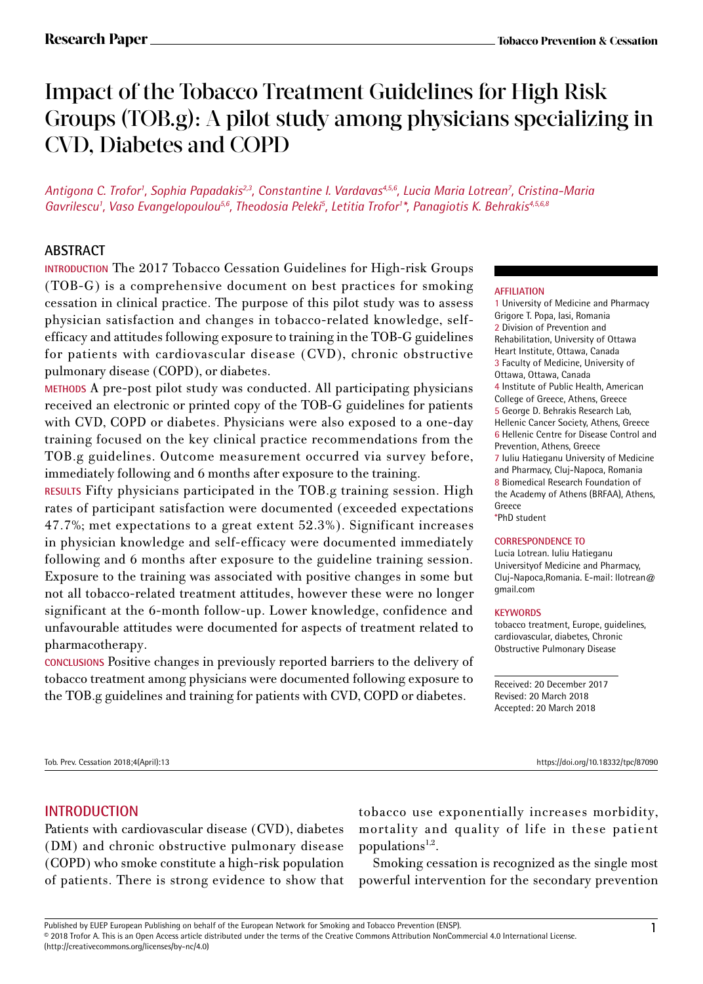# Impact of the Tobacco Treatment Guidelines for High Risk Groups (TOB.g): A pilot study among physicians specializing in CVD, Diabetes and COPD

*Antigona C. Trofor<sup>1</sup> , Sophia Papadakis2,3, Constantine I. Vardavas4,5,6, Lucia Maria Lotrean<sup>7</sup> , Cristina-Maria Gavrilescu<sup>1</sup> , Vaso Evangelopoulou5,6, Theodosia Peleki<sup>5</sup> , Letitia Trofor<sup>1</sup> \*, Panagiotis Κ. Behrakis4,5,6,8*

#### **ABSTRACT**

**INTRODUCTION** The 2017 Tobacco Cessation Guidelines for High-risk Groups (TOB-G) is a comprehensive document on best practices for smoking cessation in clinical practice. The purpose of this pilot study was to assess physician satisfaction and changes in tobacco-related knowledge, selfefficacy and attitudes following exposure to training in the TOB-G guidelines for patients with cardiovascular disease (CVD), chronic obstructive pulmonary disease (COPD), or diabetes.

**METHODS** A pre-post pilot study was conducted. All participating physicians received an electronic or printed copy of the TOB-G guidelines for patients with CVD, COPD or diabetes. Physicians were also exposed to a one-day training focused on the key clinical practice recommendations from the TOB.g guidelines. Outcome measurement occurred via survey before, immediately following and 6 months after exposure to the training.

**RESULTS** Fifty physicians participated in the TOB.g training session. High rates of participant satisfaction were documented (exceeded expectations 47.7%; met expectations to a great extent 52.3%). Significant increases in physician knowledge and self-efficacy were documented immediately following and 6 months after exposure to the guideline training session. Exposure to the training was associated with positive changes in some but not all tobacco-related treatment attitudes, however these were no longer significant at the 6-month follow-up. Lower knowledge, confidence and unfavourable attitudes were documented for aspects of treatment related to pharmacotherapy.

**CONCLUSIONS** Positive changes in previously reported barriers to the delivery of tobacco treatment among physicians were documented following exposure to the TOB.g guidelines and training for patients with CVD, COPD or diabetes.

#### **AFFILIATION**

1 University of Medicine and Pharmacy Grigore T. Popa, Iasi, Romania 2 Division of Prevention and Rehabilitation, University of Ottawa Heart Institute, Ottawa, Canada 3 Faculty of Medicine, University of Ottawa, Ottawa, Canada 4 Institute of Public Health, American College of Greece, Athens, Greece 5 George D. Behrakis Research Lab, Hellenic Cancer Society, Athens, Greece 6 Hellenic Centre for Disease Control and Prevention, Athens, Greece 7 Iuliu Hatieganu University of Medicine and Pharmacy, Cluj-Napoca, Romania 8 Biomedical Research Foundation of the Academy of Athens (BRFAA), Athens, Greece \*PhD student

#### **CORRESPONDENCE TO**

Lucia Lotrean. Iuliu Hatieganu Universityof Medicine and Pharmacy, Cluj-Napoca,Romania. E-mail: llotrean@ gmail.com

#### **KEYWORDS**

tobacco treatment, Europe, guidelines, cardiovascular, diabetes, Chronic Obstructive Pulmonary Disease

Received: 20 December 2017 Revised: 20 March 2018 Accepted: 20 March 2018

Tob. Prev. Cessation 2018;4(April):13 https://doi.org/10.18332/tpc/87090

## **INTRODUCTION**

Patients with cardiovascular disease (CVD), diabetes (DM) and chronic obstructive pulmonary disease (COPD) who smoke constitute a high-risk population of patients. There is strong evidence to show that tobacco use exponentially increases morbidity, mortality and quality of life in these patient populations $1,2$ .

Smoking cessation is recognized as the single most powerful intervention for the secondary prevention

Published by EUEP European Publishing on behalf of the European Network for Smoking and Tobacco Prevention (ENSP).<br>© 2018 Trofor A. This is an Open Access article distributed under the terms of the Creative Commons Attribu (http://creativecommons.org/licenses/by-nc/4.0)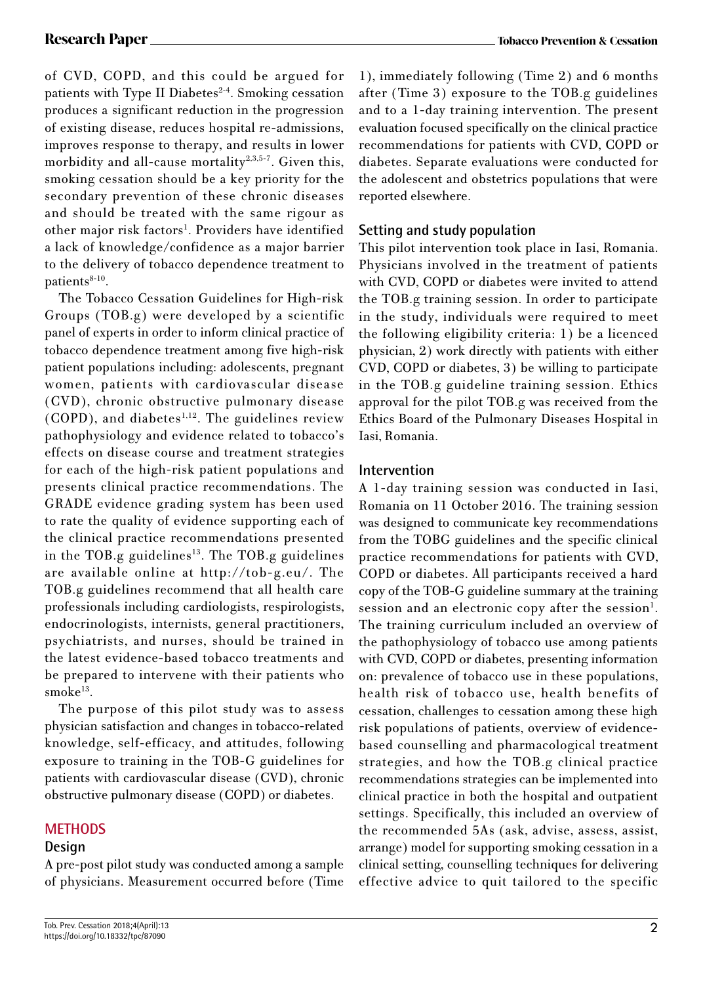of CVD, COPD, and this could be argued for patients with Type II Diabetes $2-4$ . Smoking cessation produces a significant reduction in the progression of existing disease, reduces hospital re-admissions, improves response to therapy, and results in lower morbidity and all-cause mortality<sup>2,3,5-7</sup>. Given this, smoking cessation should be a key priority for the secondary prevention of these chronic diseases and should be treated with the same rigour as other major risk factors<sup>1</sup>. Providers have identified a lack of knowledge/confidence as a major barrier to the delivery of tobacco dependence treatment to patients<sup>8-10</sup>.

The Tobacco Cessation Guidelines for High-risk Groups (TOB.g) were developed by a scientific panel of experts in order to inform clinical practice of tobacco dependence treatment among five high-risk patient populations including: adolescents, pregnant women, patients with cardiovascular disease (CVD), chronic obstructive pulmonary disease  $(COPD)$ , and diabetes<sup>1,12</sup>. The guidelines review pathophysiology and evidence related to tobacco's effects on disease course and treatment strategies for each of the high-risk patient populations and presents clinical practice recommendations. The GRADE evidence grading system has been used to rate the quality of evidence supporting each of the clinical practice recommendations presented in the TOB.g guidelines<sup>13</sup>. The TOB.g guidelines are available online at http://tob-g.eu/. The TOB.g guidelines recommend that all health care professionals including cardiologists, respirologists, endocrinologists, internists, general practitioners, psychiatrists, and nurses, should be trained in the latest evidence-based tobacco treatments and be prepared to intervene with their patients who smoke<sup>13</sup>.

The purpose of this pilot study was to assess physician satisfaction and changes in tobacco-related knowledge, self-efficacy, and attitudes, following exposure to training in the TOB-G guidelines for patients with cardiovascular disease (CVD), chronic obstructive pulmonary disease (COPD) or diabetes.

### **METHODS**

#### **Design**

A pre-post pilot study was conducted among a sample of physicians. Measurement occurred before (Time

1), immediately following (Time 2) and 6 months after (Time 3) exposure to the TOB.g guidelines and to a 1-day training intervention. The present evaluation focused specifically on the clinical practice recommendations for patients with CVD, COPD or diabetes. Separate evaluations were conducted for the adolescent and obstetrics populations that were reported elsewhere.

## **Setting and study population**

This pilot intervention took place in Iasi, Romania. Physicians involved in the treatment of patients with CVD, COPD or diabetes were invited to attend the TOB.g training session. In order to participate in the study, individuals were required to meet the following eligibility criteria: 1) be a licenced physician, 2) work directly with patients with either CVD, COPD or diabetes, 3) be willing to participate in the TOB.g guideline training session. Ethics approval for the pilot TOB.g was received from the Ethics Board of the Pulmonary Diseases Hospital in Iasi, Romania.

#### **Intervention**

A 1-day training session was conducted in Iasi, Romania on 11 October 2016. The training session was designed to communicate key recommendations from the TOBG guidelines and the specific clinical practice recommendations for patients with CVD, COPD or diabetes. All participants received a hard copy of the TOB-G guideline summary at the training session and an electronic copy after the session<sup>1</sup>. The training curriculum included an overview of the pathophysiology of tobacco use among patients with CVD, COPD or diabetes, presenting information on: prevalence of tobacco use in these populations, health risk of tobacco use, health benefits of cessation, challenges to cessation among these high risk populations of patients, overview of evidencebased counselling and pharmacological treatment strategies, and how the TOB.g clinical practice recommendations strategies can be implemented into clinical practice in both the hospital and outpatient settings. Specifically, this included an overview of the recommended 5As (ask, advise, assess, assist, arrange) model for supporting smoking cessation in a clinical setting, counselling techniques for delivering effective advice to quit tailored to the specific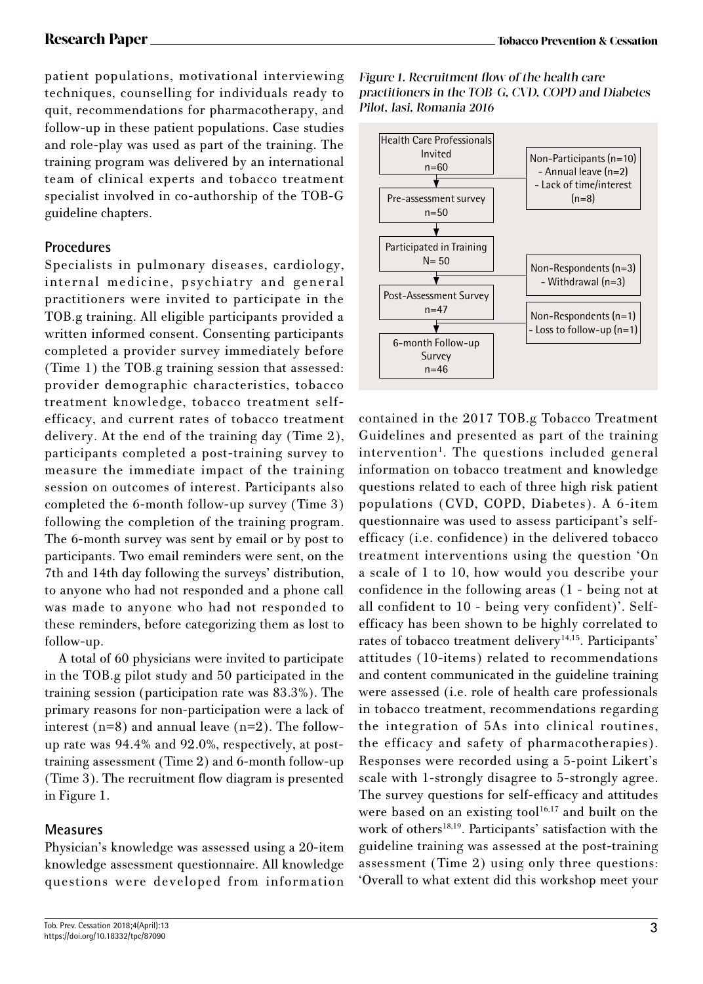patient populations, motivational interviewing techniques, counselling for individuals ready to quit, recommendations for pharmacotherapy, and follow-up in these patient populations. Case studies and role-play was used as part of the training. The training program was delivered by an international team of clinical experts and tobacco treatment specialist involved in co-authorship of the TOB-G guideline chapters.

#### **Procedures**

Specialists in pulmonary diseases, cardiology, internal medicine, psychiatry and general practitioners were invited to participate in the TOB.g training. All eligible participants provided a written informed consent. Consenting participants completed a provider survey immediately before (Time 1) the TOB.g training session that assessed: provider demographic characteristics, tobacco treatment knowledge, tobacco treatment selfefficacy, and current rates of tobacco treatment delivery. At the end of the training day (Time 2), participants completed a post-training survey to measure the immediate impact of the training session on outcomes of interest. Participants also completed the 6-month follow-up survey (Time 3) following the completion of the training program. The 6-month survey was sent by email or by post to participants. Two email reminders were sent, on the 7th and 14th day following the surveys' distribution, to anyone who had not responded and a phone call was made to anyone who had not responded to these reminders, before categorizing them as lost to follow-up.

A total of 60 physicians were invited to participate in the TOB.g pilot study and 50 participated in the training session (participation rate was 83.3%). The primary reasons for non-participation were a lack of interest (n=8) and annual leave (n=2). The followup rate was 94.4% and 92.0%, respectively, at posttraining assessment (Time 2) and 6-month follow-up (Time 3). The recruitment flow diagram is presented in Figure 1.

### **Measures**

Physician's knowledge was assessed using a 20-item knowledge assessment questionnaire. All knowledge questions were developed from information





contained in the 2017 TOB.g Tobacco Treatment Guidelines and presented as part of the training intervention<sup>1</sup>. The questions included general information on tobacco treatment and knowledge questions related to each of three high risk patient populations (CVD, COPD, Diabetes). A 6-item questionnaire was used to assess participant's selfefficacy (i.e. confidence) in the delivered tobacco treatment interventions using the question 'On a scale of 1 to 10, how would you describe your confidence in the following areas (1 - being not at all confident to 10 - being very confident)'. Selfefficacy has been shown to be highly correlated to rates of tobacco treatment delivery<sup>14,15</sup>. Participants' attitudes (10-items) related to recommendations and content communicated in the guideline training were assessed (i.e. role of health care professionals in tobacco treatment, recommendations regarding the integration of 5As into clinical routines, the efficacy and safety of pharmacotherapies). Responses were recorded using a 5-point Likert's scale with 1-strongly disagree to 5-strongly agree. The survey questions for self-efficacy and attitudes were based on an existing tool $16,17$  and built on the work of others<sup>18,19</sup>. Participants' satisfaction with the guideline training was assessed at the post-training assessment (Time 2) using only three questions: 'Overall to what extent did this workshop meet your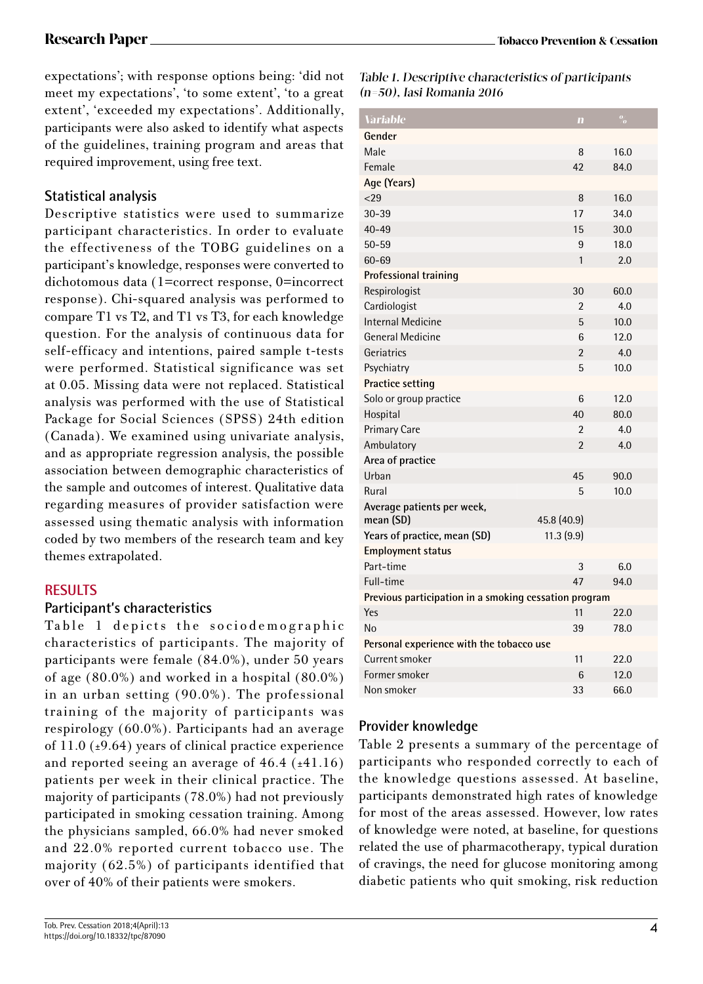expectations'; with response options being: 'did not meet my expectations', 'to some extent', 'to a great extent', 'exceeded my expectations'. Additionally, participants were also asked to identify what aspects of the guidelines, training program and areas that required improvement, using free text.

## **Statistical analysis**

Descriptive statistics were used to summarize participant characteristics. In order to evaluate the effectiveness of the TOBG guidelines on a participant's knowledge, responses were converted to dichotomous data (1=correct response, 0=incorrect response). Chi-squared analysis was performed to compare T1 vs T2, and T1 vs T3, for each knowledge question. For the analysis of continuous data for self-efficacy and intentions, paired sample t-tests were performed. Statistical significance was set at 0.05. Missing data were not replaced. Statistical analysis was performed with the use of Statistical Package for Social Sciences (SPSS) 24th edition (Canada). We examined using univariate analysis, and as appropriate regression analysis, the possible association between demographic characteristics of the sample and outcomes of interest. Qualitative data regarding measures of provider satisfaction were assessed using thematic analysis with information coded by two members of the research team and key themes extrapolated.

### **RESULTS**

#### **Participant's characteristics**

Table 1 depicts the sociodemographic characteristics of participants. The majority of participants were female (84.0%), under 50 years of age (80.0%) and worked in a hospital (80.0%) in an urban setting (90.0%). The professional training of the majority of participants was respirology (60.0%). Participants had an average of  $11.0$  ( $\pm$ 9.64) years of clinical practice experience and reported seeing an average of  $46.4$  ( $\pm 41.16$ ) patients per week in their clinical practice. The majority of participants (78.0%) had not previously participated in smoking cessation training. Among the physicians sampled, 66.0% had never smoked and 22.0% reported current tobacco use. The majority (62.5%) of participants identified that over of 40% of their patients were smokers.

Table 1. Descriptive characteristics of participants (n=50 ), Iasi Romania 2016

| <b>Variable</b>                                       | $\mathbf{m}$   | $\frac{0}{2}$ |  |
|-------------------------------------------------------|----------------|---------------|--|
| Gender                                                |                |               |  |
| Male                                                  | 8              | 16.0          |  |
| Female                                                | 42             | 84.0          |  |
| Age (Years)                                           |                |               |  |
| 29                                                    | 8              | 16.0          |  |
| $30 - 39$                                             | 17             | 34.0          |  |
| $40 - 49$                                             | 15             | 30.0          |  |
| $50 - 59$                                             | 9              | 18.0          |  |
| 60-69                                                 | 1              | 2.0           |  |
| Professional training                                 |                |               |  |
| Respirologist                                         | 30             | 60.0          |  |
| Cardiologist                                          | $\overline{2}$ | 4.0           |  |
| Internal Medicine                                     | 5              | 10.0          |  |
| <b>General Medicine</b>                               | 6              | 12.0          |  |
| Geriatrics                                            | $\overline{2}$ | 4.0           |  |
| Psychiatry                                            | 5              | 10.0          |  |
| <b>Practice setting</b>                               |                |               |  |
| Solo or group practice                                | 6              | 12.0          |  |
| Hospital                                              | 40             | 80.0          |  |
| <b>Primary Care</b>                                   | $\mathfrak{p}$ | 4.0           |  |
| Ambulatory                                            | $\overline{2}$ | 4.0           |  |
| Area of practice                                      |                |               |  |
| Urban                                                 | 45             | 90.0          |  |
| Rural                                                 | 5              | 10.0          |  |
| Average patients per week,<br>mean (SD)               | 45.8 (40.9)    |               |  |
| Years of practice, mean (SD)                          | 11.3(9.9)      |               |  |
| <b>Employment status</b>                              |                |               |  |
| Part-time                                             | 3              | 6.0           |  |
| Full-time                                             | 47             | 94.0          |  |
| Previous participation in a smoking cessation program |                |               |  |
| Yes                                                   | 11             | 22.0          |  |
| No                                                    | 39             | 78.0          |  |
| Personal experience with the tobacco use              |                |               |  |
| Current smoker                                        | 11             | 22.0          |  |
| Former smoker                                         | 6              | 12.0          |  |
| Non smoker                                            | 33             | 66.0          |  |

## **Provider knowledge**

Table 2 presents a summary of the percentage of participants who responded correctly to each of the knowledge questions assessed. At baseline, participants demonstrated high rates of knowledge for most of the areas assessed. However, low rates of knowledge were noted, at baseline, for questions related the use of pharmacotherapy, typical duration of cravings, the need for glucose monitoring among diabetic patients who quit smoking, risk reduction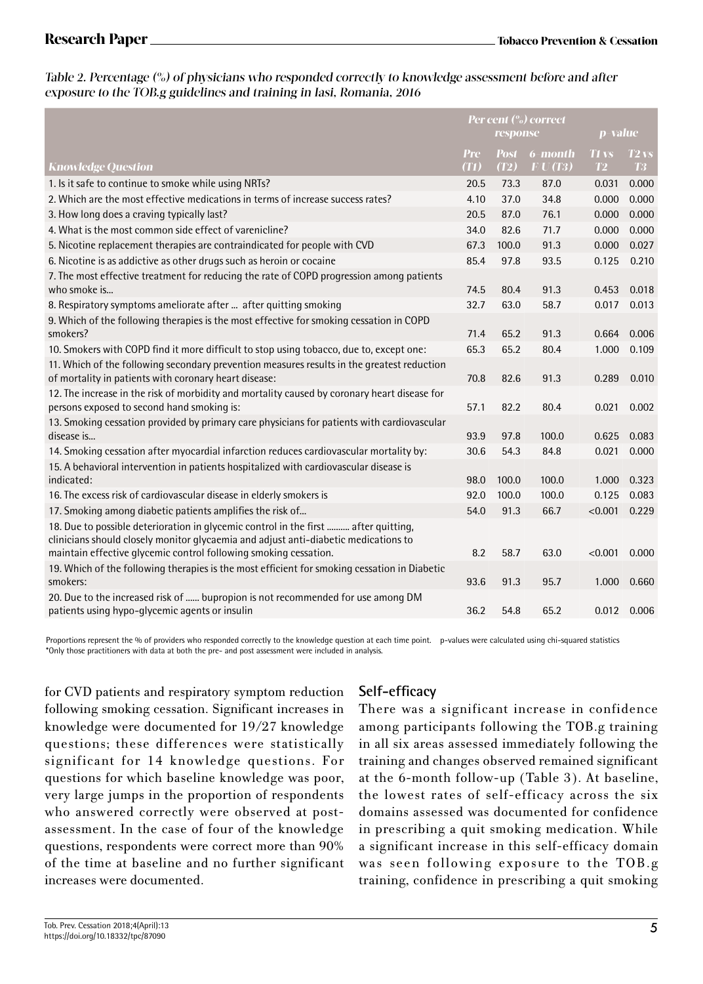#### Table 2. Percentage (%) of physicians who responded correctly to knowledge assessment before and after exposure to the TOB.g guidelines and training in Iasi, Romania, 2016

|                                                                                                                                                                                                                                                | Per cent (%) correct<br>response |             | p-value             |              |                    |
|------------------------------------------------------------------------------------------------------------------------------------------------------------------------------------------------------------------------------------------------|----------------------------------|-------------|---------------------|--------------|--------------------|
|                                                                                                                                                                                                                                                | <b>Pre</b>                       | <b>Post</b> | 6-month             | <b>T1 vs</b> | $T2$ <sub>VS</sub> |
| <b>Knowledge Question</b>                                                                                                                                                                                                                      | (T1)                             | (T2)        | $\overline{FU(T3)}$ | T2           | <b>T3</b>          |
| 1. Is it safe to continue to smoke while using NRTs?                                                                                                                                                                                           | 20.5                             | 73.3        | 87.0                | 0.031        | 0.000              |
| 2. Which are the most effective medications in terms of increase success rates?                                                                                                                                                                | 4.10                             | 37.0        | 34.8                | 0.000        | 0.000              |
| 3. How long does a craving typically last?                                                                                                                                                                                                     | 20.5                             | 87.0        | 76.1                | 0.000        | 0.000              |
| 4. What is the most common side effect of varenicline?                                                                                                                                                                                         | 34.0                             | 82.6        | 71.7                | 0.000        | 0.000              |
| 5. Nicotine replacement therapies are contraindicated for people with CVD                                                                                                                                                                      | 67.3                             | 100.0       | 91.3                | 0.000        | 0.027              |
| 6. Nicotine is as addictive as other drugs such as heroin or cocaine                                                                                                                                                                           | 85.4                             | 97.8        | 93.5                | 0.125        | 0.210              |
| 7. The most effective treatment for reducing the rate of COPD progression among patients<br>who smoke is                                                                                                                                       | 74.5                             | 80.4        | 91.3                | 0.453        | 0.018              |
| 8. Respiratory symptoms ameliorate after  after quitting smoking                                                                                                                                                                               | 32.7                             | 63.0        | 58.7                | 0.017        | 0.013              |
| 9. Which of the following therapies is the most effective for smoking cessation in COPD<br>smokers?                                                                                                                                            | 71.4                             | 65.2        | 91.3                | 0.664        | 0.006              |
| 10. Smokers with COPD find it more difficult to stop using tobacco, due to, except one:                                                                                                                                                        | 65.3                             | 65.2        | 80.4                | 1.000        | 0.109              |
| 11. Which of the following secondary prevention measures results in the greatest reduction<br>of mortality in patients with coronary heart disease:                                                                                            | 70.8                             | 82.6        | 91.3                | 0.289        | 0.010              |
| 12. The increase in the risk of morbidity and mortality caused by coronary heart disease for<br>persons exposed to second hand smoking is:                                                                                                     | 57.1                             | 82.2        | 80.4                | 0.021        | 0.002              |
| 13. Smoking cessation provided by primary care physicians for patients with cardiovascular<br>disease is                                                                                                                                       | 93.9                             | 97.8        | 100.0               | 0.625        | 0.083              |
| 14. Smoking cessation after myocardial infarction reduces cardiovascular mortality by:                                                                                                                                                         | 30.6                             | 54.3        | 84.8                | 0.021        | 0.000              |
| 15. A behavioral intervention in patients hospitalized with cardiovascular disease is<br>indicated:                                                                                                                                            | 98.0                             | 100.0       | 100.0               | 1.000        | 0.323              |
| 16. The excess risk of cardiovascular disease in elderly smokers is                                                                                                                                                                            | 92.0                             | 100.0       | 100.0               | 0.125        | 0.083              |
| 17. Smoking among diabetic patients amplifies the risk of                                                                                                                                                                                      | 54.0                             | 91.3        | 66.7                | < 0.001      | 0.229              |
| 18. Due to possible deterioration in glycemic control in the first  after quitting,<br>clinicians should closely monitor glycaemia and adjust anti-diabetic medications to<br>maintain effective glycemic control following smoking cessation. | 8.2                              | 58.7        | 63.0                | < 0.001      | 0.000              |
| 19. Which of the following therapies is the most efficient for smoking cessation in Diabetic<br>smokers:                                                                                                                                       | 93.6                             | 91.3        | 95.7                | 1.000        | 0.660              |
| 20. Due to the increased risk of  bupropion is not recommended for use among DM<br>patients using hypo-glycemic agents or insulin                                                                                                              | 36.2                             | 54.8        | 65.2                | 0.012        | 0.006              |

Proportions represent the % of providers who responded correctly to the knowledge question at each time point. p-values were calculated using chi-squared statistics \*Only those practitioners with data at both the pre- and post assessment were included in analysis.

for CVD patients and respiratory symptom reduction following smoking cessation. Significant increases in knowledge were documented for 19/27 knowledge questions; these differences were statistically significant for 14 knowledge questions. For questions for which baseline knowledge was poor, very large jumps in the proportion of respondents who answered correctly were observed at postassessment. In the case of four of the knowledge questions, respondents were correct more than 90% of the time at baseline and no further significant increases were documented.

## **Self-efficacy**

There was a significant increase in confidence among participants following the TOB.g training in all six areas assessed immediately following the training and changes observed remained significant at the 6-month follow-up (Table 3). At baseline, the lowest rates of self-efficacy across the six domains assessed was documented for confidence in prescribing a quit smoking medication. While a significant increase in this self-efficacy domain was seen following exposure to the TOB.g training, confidence in prescribing a quit smoking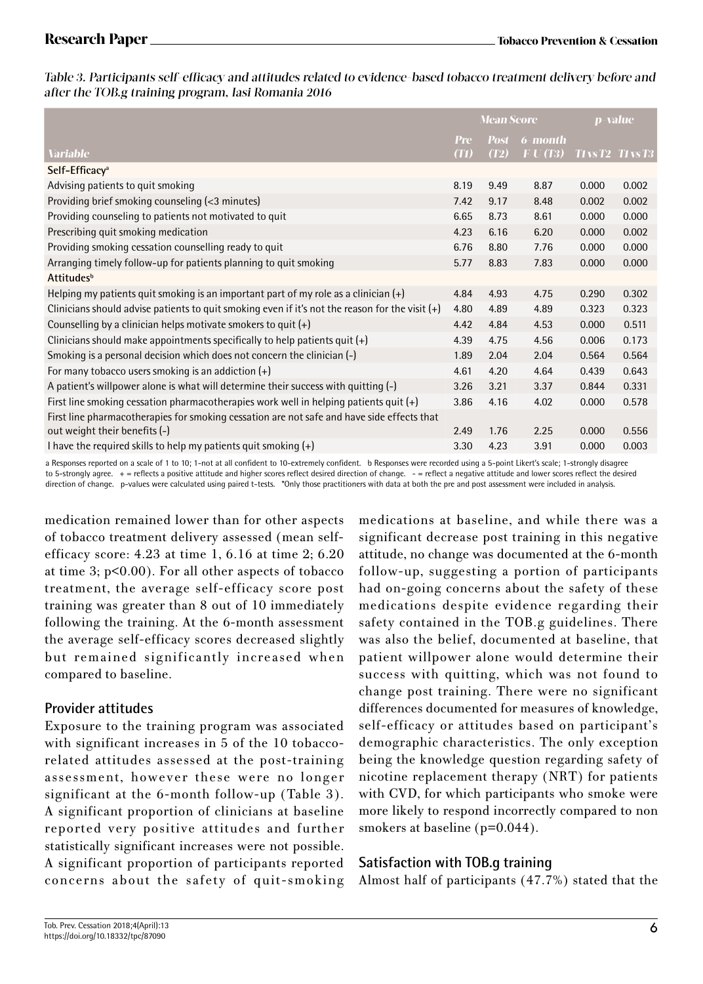Table 3. Participants self-efficacy and attitudes related to evidence-based tobacco treatment delivery before and after the TOB.g training program, Iasi Romania 2016

|                                                                                                   | <b>Mean Score</b>  |                     | p-value            |                          |       |
|---------------------------------------------------------------------------------------------------|--------------------|---------------------|--------------------|--------------------------|-------|
| <b>Variable</b>                                                                                   | <b>Pre</b><br>(T1) | <b>Post</b><br>(T2) | 6-month<br>F/U(T3) | <b>TI vs T2 TI vs T3</b> |       |
|                                                                                                   |                    |                     |                    |                          |       |
| Self-Efficacy <sup>a</sup>                                                                        |                    |                     |                    |                          |       |
| Advising patients to quit smoking                                                                 | 8.19               | 9.49                | 8.87               | 0.000                    | 0.002 |
| Providing brief smoking counseling (<3 minutes)                                                   | 7.42               | 9.17                | 8.48               | 0.002                    | 0.002 |
| Providing counseling to patients not motivated to quit                                            | 6.65               | 8.73                | 8.61               | 0.000                    | 0.000 |
| Prescribing quit smoking medication                                                               | 4.23               | 6.16                | 6.20               | 0.000                    | 0.002 |
| Providing smoking cessation counselling ready to quit                                             | 6.76               | 8.80                | 7.76               | 0.000                    | 0.000 |
| Arranging timely follow-up for patients planning to quit smoking                                  | 5.77               | 8.83                | 7.83               | 0.000                    | 0.000 |
| <b>Attitudes</b> <sup>b</sup>                                                                     |                    |                     |                    |                          |       |
| Helping my patients quit smoking is an important part of my role as a clinician $(+)$             | 4.84               | 4.93                | 4.75               | 0.290                    | 0.302 |
| Clinicians should advise patients to quit smoking even if it's not the reason for the visit $(+)$ | 4.80               | 4.89                | 4.89               | 0.323                    | 0.323 |
| Counselling by a clinician helps motivate smokers to quit $(+)$                                   | 4.42               | 4.84                | 4.53               | 0.000                    | 0.511 |
| Clinicians should make appointments specifically to help patients quit $(+)$                      | 4.39               | 4.75                | 4.56               | 0.006                    | 0.173 |
| Smoking is a personal decision which does not concern the clinician (-)                           | 1.89               | 2.04                | 2.04               | 0.564                    | 0.564 |
| For many tobacco users smoking is an addiction $(+)$                                              | 4.61               | 4.20                | 4.64               | 0.439                    | 0.643 |
| A patient's willpower alone is what will determine their success with quitting (-)                | 3.26               | 3.21                | 3.37               | 0.844                    | 0.331 |
| First line smoking cessation pharmacotherapies work well in helping patients quit (+)             | 3.86               | 4.16                | 4.02               | 0.000                    | 0.578 |
| First line pharmacotherapies for smoking cessation are not safe and have side effects that        |                    |                     |                    |                          |       |
| out weight their benefits (-)                                                                     | 2.49               | 1.76                | 2.25               | 0.000                    | 0.556 |
| I have the required skills to help my patients quit smoking $(+)$                                 | 3.30               | 4.23                | 3.91               | 0.000                    | 0.003 |

a Responses reported on a scale of 1 to 10; 1-not at all confident to 10-extremely confident. b Responses were recorded using a 5-point Likert's scale; 1-strongly disagree to 5-strongly agree. + = reflects a positive attitude and higher scores reflect desired direction of change. - = reflect a negative attitude and lower scores reflect the desired direction of change. p-values were calculated using paired t-tests. \*Only those practitioners with data at both the pre and post assessment were included in analysis.

medication remained lower than for other aspects of tobacco treatment delivery assessed (mean selfefficacy score: 4.23 at time 1, 6.16 at time 2; 6.20 at time 3; p<0.00). For all other aspects of tobacco treatment, the average self-efficacy score post training was greater than 8 out of 10 immediately following the training. At the 6-month assessment the average self-efficacy scores decreased slightly but remained significantly increased when compared to baseline.

#### **Provider attitudes**

Exposure to the training program was associated with significant increases in 5 of the 10 tobaccorelated attitudes assessed at the post-training assessment, however these were no longer significant at the 6-month follow-up (Table 3). A significant proportion of clinicians at baseline reported very positive attitudes and further statistically significant increases were not possible. A significant proportion of participants reported concerns about the safety of quit-smoking medications at baseline, and while there was a significant decrease post training in this negative attitude, no change was documented at the 6-month follow-up, suggesting a portion of participants had on-going concerns about the safety of these medications despite evidence regarding their safety contained in the TOB.g guidelines. There was also the belief, documented at baseline, that patient willpower alone would determine their success with quitting, which was not found to change post training. There were no significant differences documented for measures of knowledge, self-efficacy or attitudes based on participant's demographic characteristics. The only exception being the knowledge question regarding safety of nicotine replacement therapy (NRT) for patients with CVD, for which participants who smoke were more likely to respond incorrectly compared to non smokers at baseline (p=0.044).

### **Satisfaction with TOB.g training**

Almost half of participants (47.7%) stated that the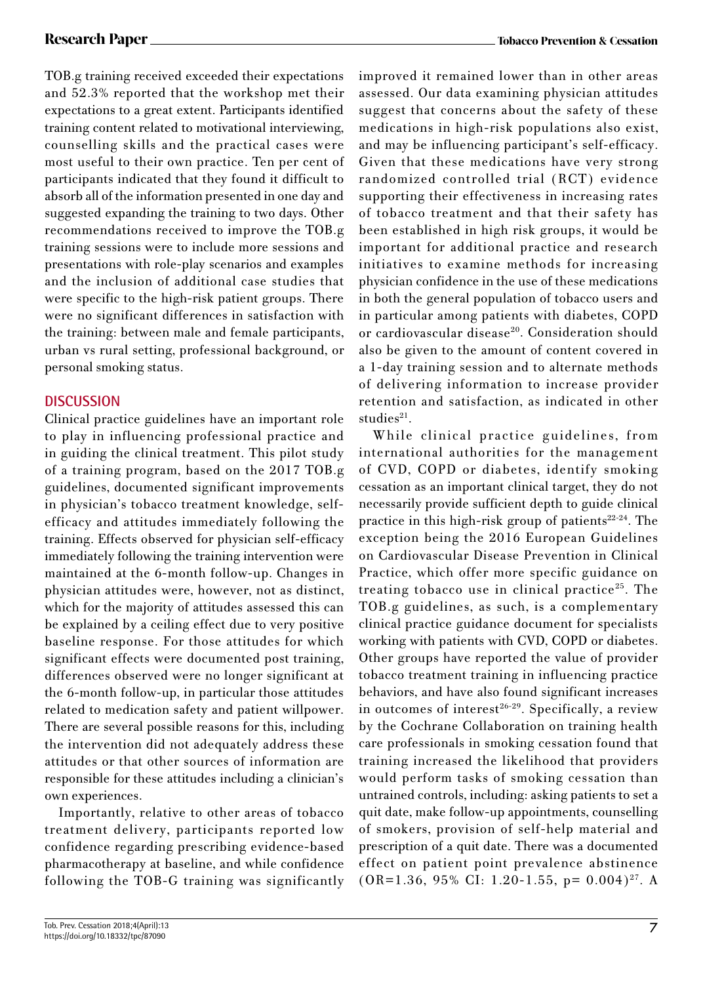TOB.g training received exceeded their expectations and 52.3% reported that the workshop met their expectations to a great extent. Participants identified training content related to motivational interviewing, counselling skills and the practical cases were most useful to their own practice. Ten per cent of participants indicated that they found it difficult to absorb all of the information presented in one day and suggested expanding the training to two days. Other recommendations received to improve the TOB.g training sessions were to include more sessions and presentations with role-play scenarios and examples and the inclusion of additional case studies that were specific to the high-risk patient groups. There were no significant differences in satisfaction with the training: between male and female participants, urban vs rural setting, professional background, or personal smoking status.

#### **DISCUSSION**

Clinical practice guidelines have an important role to play in influencing professional practice and in guiding the clinical treatment. This pilot study of a training program, based on the 2017 TOB.g guidelines, documented significant improvements in physician's tobacco treatment knowledge, selfefficacy and attitudes immediately following the training. Effects observed for physician self-efficacy immediately following the training intervention were maintained at the 6-month follow-up. Changes in physician attitudes were, however, not as distinct, which for the majority of attitudes assessed this can be explained by a ceiling effect due to very positive baseline response. For those attitudes for which significant effects were documented post training, differences observed were no longer significant at the 6-month follow-up, in particular those attitudes related to medication safety and patient willpower. There are several possible reasons for this, including the intervention did not adequately address these attitudes or that other sources of information are responsible for these attitudes including a clinician's own experiences.

Importantly, relative to other areas of tobacco treatment delivery, participants reported low confidence regarding prescribing evidence-based pharmacotherapy at baseline, and while confidence following the TOB-G training was significantly improved it remained lower than in other areas assessed. Our data examining physician attitudes suggest that concerns about the safety of these medications in high-risk populations also exist, and may be influencing participant's self-efficacy. Given that these medications have very strong randomized controlled trial (RCT) evidence supporting their effectiveness in increasing rates of tobacco treatment and that their safety has been established in high risk groups, it would be important for additional practice and research initiatives to examine methods for increasing physician confidence in the use of these medications in both the general population of tobacco users and in particular among patients with diabetes, COPD or cardiovascular disease<sup>20</sup>. Consideration should also be given to the amount of content covered in a 1-day training session and to alternate methods of delivering information to increase provider retention and satisfaction, as indicated in other  $studies<sup>21</sup>$ .

While clinical practice guidelines, from international authorities for the management of CVD, COPD or diabetes, identify smoking cessation as an important clinical target, they do not necessarily provide sufficient depth to guide clinical practice in this high-risk group of patients $22-24$ . The exception being the 2016 European Guidelines on Cardiovascular Disease Prevention in Clinical Practice, which offer more specific guidance on treating tobacco use in clinical practice<sup>25</sup>. The TOB.g guidelines, as such, is a complementary clinical practice guidance document for specialists working with patients with CVD, COPD or diabetes. Other groups have reported the value of provider tobacco treatment training in influencing practice behaviors, and have also found significant increases in outcomes of interest<sup>26-29</sup>. Specifically, a review by the Cochrane Collaboration on training health care professionals in smoking cessation found that training increased the likelihood that providers would perform tasks of smoking cessation than untrained controls, including: asking patients to set a quit date, make follow-up appointments, counselling of smokers, provision of self-help material and prescription of a quit date. There was a documented effect on patient point prevalence abstinence  $(OR=1.36, 95\% \text{ CI: } 1.20-1.55, \text{ p} = 0.004)^{27}$ . A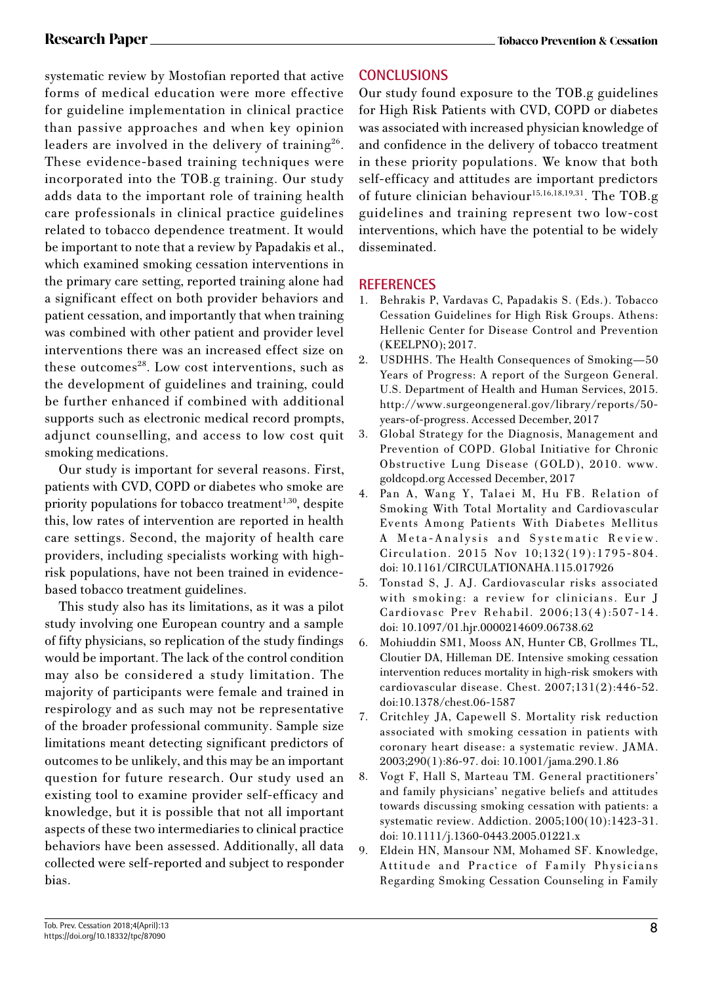systematic review by Mostofian reported that active forms of medical education were more effective for guideline implementation in clinical practice than passive approaches and when key opinion leaders are involved in the delivery of training<sup>26</sup>. These evidence-based training techniques were incorporated into the TOB.g training. Our study adds data to the important role of training health care professionals in clinical practice guidelines related to tobacco dependence treatment. It would be important to note that a review by Papadakis et al., which examined smoking cessation interventions in the primary care setting, reported training alone had a significant effect on both provider behaviors and patient cessation, and importantly that when training was combined with other patient and provider level interventions there was an increased effect size on these outcomes<sup>28</sup>. Low cost interventions, such as the development of guidelines and training, could be further enhanced if combined with additional supports such as electronic medical record prompts, adjunct counselling, and access to low cost quit smoking medications.

Our study is important for several reasons. First, patients with CVD, COPD or diabetes who smoke are priority populations for tobacco treatment<sup> $1,30$ </sup>, despite this, low rates of intervention are reported in health care settings. Second, the majority of health care providers, including specialists working with highrisk populations, have not been trained in evidencebased tobacco treatment guidelines.

This study also has its limitations, as it was a pilot study involving one European country and a sample of fifty physicians, so replication of the study findings would be important. The lack of the control condition may also be considered a study limitation. The majority of participants were female and trained in respirology and as such may not be representative of the broader professional community. Sample size limitations meant detecting significant predictors of outcomes to be unlikely, and this may be an important question for future research. Our study used an existing tool to examine provider self-efficacy and knowledge, but it is possible that not all important aspects of these two intermediaries to clinical practice behaviors have been assessed. Additionally, all data collected were self-reported and subject to responder bias.

## **CONCLUSIONS**

Our study found exposure to the TOB.g guidelines for High Risk Patients with CVD, COPD or diabetes was associated with increased physician knowledge of and confidence in the delivery of tobacco treatment in these priority populations. We know that both self-efficacy and attitudes are important predictors of future clinician behaviour<sup>15,16,18,19,31</sup>. The TOB.g guidelines and training represent two low-cost interventions, which have the potential to be widely disseminated.

### **REFERENCES**

- 1. Behrakis P, Vardavas C, Papadakis S. (Eds.). Tobacco Cessation Guidelines for High Risk Groups. Athens: Hellenic Center for Disease Control and Prevention (KEELPNO); 2017.
- 2. USDHHS. The Health Consequences of Smoking—50 Years of Progress: A report of the Surgeon General. U.S. Department of Health and Human Services, 2015. http://www.surgeongeneral.gov/library/reports/50 years-of-progress. Accessed December, 2017
- 3. Global Strategy for the Diagnosis, Management and Prevention of COPD. Global Initiative for Chronic Obstructive Lung Disease (GOLD), 2010. www. goldcopd.org Accessed December, 2017
- 4. Pan A, Wang Y, Talaei M, Hu FB. Relation of Smoking With Total Mortality and Cardiovascular Events Among Patients With Diabetes Mellitus A Meta-Analysis and Systematic Review. Circulation. 2015 Nov 10;132(19):1795-804. doi: 10.1161/CIRCULATIONAHA.115.017926
- 5. Tonstad S, J. AJ. Cardiovascular risks associated with smoking: a review for clinicians. Eur J Cardiovasc Prev Rehabil. 2006;13(4):507-14. doi: 10.1097/01.hjr.0000214609.06738.62
- 6. Mohiuddin SM1, Mooss AN, Hunter CB, Grollmes TL, Cloutier DA, Hilleman DE. Intensive smoking cessation intervention reduces mortality in high-risk smokers with cardiovascular disease. Chest. 2007;131(2):446-52. doi:10.1378/chest.06-1587
- 7. Critchley JA, Capewell S. Mortality risk reduction associated with smoking cessation in patients with coronary heart disease: a systematic review. JAMA. 2003;290(1):86-97. doi: 10.1001/jama.290.1.86
- 8. Vogt F, Hall S, Marteau TM. General practitioners' and family physicians' negative beliefs and attitudes towards discussing smoking cessation with patients: a systematic review. Addiction. 2005;100(10):1423-31. doi: 10.1111/j.1360-0443.2005.01221.x
- 9. Eldein HN, Mansour NM, Mohamed SF. Knowledge, Attitude and Practice of Family Physicians Regarding Smoking Cessation Counseling in Family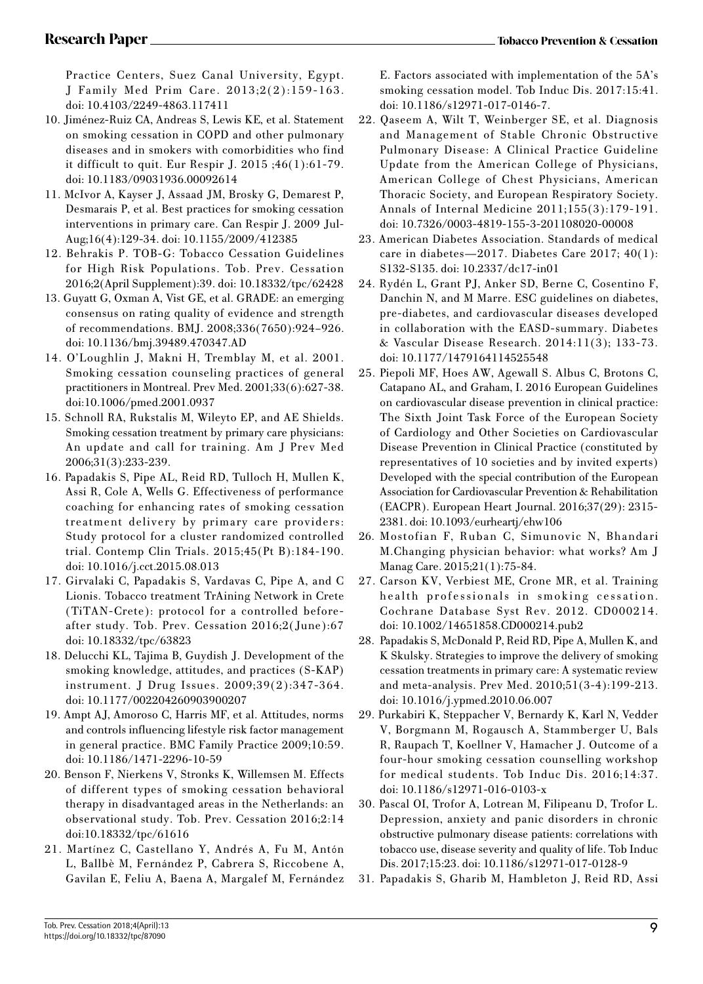Practice Centers, Suez Canal University, Egypt. J Family Med Prim Care. 2013;2(2):159-163. doi: 10.4103/2249-4863.117411

- 10. Jiménez-Ruiz CA, Andreas S, Lewis KE, et al. Statement on smoking cessation in COPD and other pulmonary diseases and in smokers with comorbidities who find it difficult to quit. Eur Respir J. 2015 ;46(1):61-79. doi: 10.1183/09031936.00092614
- 11. McIvor A, Kayser J, Assaad JM, Brosky G, Demarest P, Desmarais P, et al. Best practices for smoking cessation interventions in primary care. Can Respir J. 2009 Jul-Aug;16(4):129-34. doi: 10.1155/2009/412385
- 12. Behrakis P. TOB-G: Tobacco Cessation Guidelines for High Risk Populations. Tob. Prev. Cessation 2016;2(April Supplement):39. doi: 10.18332/tpc/62428
- 13. Guyatt G, Oxman A, Vist GE, et al. GRADE: an emerging consensus on rating quality of evidence and strength of recommendations. BMJ. 2008;336(7650):924–926. doi: 10.1136/bmj.39489.470347.AD
- 14. O'Loughlin J, Makni H, Tremblay M, et al. 2001. Smoking cessation counseling practices of general practitioners in Montreal. Prev Med. 2001;33(6):627-38. doi:10.1006/pmed.2001.0937
- 15. Schnoll RA, Rukstalis M, Wileyto EP, and AE Shields. Smoking cessation treatment by primary care physicians: An update and call for training. Am J Prev Med 2006;31(3):233-239.
- 16. Papadakis S, Pipe AL, Reid RD, Tulloch H, Mullen K, Assi R, Cole A, Wells G. Effectiveness of performance coaching for enhancing rates of smoking cessation treatment delivery by primary care providers: Study protocol for a cluster randomized controlled trial. Contemp Clin Trials. 2015;45(Pt B):184-190. doi: 10.1016/j.cct.2015.08.013
- 17. Girvalaki C, Papadakis S, Vardavas C, Pipe A, and C Lionis. Tobacco treatment TrAining Network in Crete (TiTAN-Crete): protocol for a controlled beforeafter study. Tob. Prev. Cessation 2016;2(June):67 doi: 10.18332/tpc/63823
- 18. Delucchi KL, Tajima B, Guydish J. Development of the smoking knowledge, attitudes, and practices (S-KAP) instrument. J Drug Issues. 2009;39(2):347-364. doi: 10.1177/002204260903900207
- 19. Ampt AJ, Amoroso C, Harris MF, et al. Attitudes, norms and controls influencing lifestyle risk factor management in general practice. BMC Family Practice 2009;10:59. doi: 10.1186/1471-2296-10-59
- 20. Benson F, Nierkens V, Stronks K, Willemsen M. Effects of different types of smoking cessation behavioral therapy in disadvantaged areas in the Netherlands: an observational study. Tob. Prev. Cessation 2016;2:14 doi:10.18332/tpc/61616
- 21. Martínez C, Castellano Y, Andrés A, Fu M, Antón L, Ballbè M, Fernández P, Cabrera S, Riccobene A, Gavilan E, Feliu A, Baena A, Margalef M, Fernández

E. Factors associated with implementation of the 5A's smoking cessation model. Tob Induc Dis. 2017:15:41. doi: 10.1186/s12971-017-0146-7.

- 22. Qaseem A, Wilt T, Weinberger SE, et al. Diagnosis and Management of Stable Chronic Obstructive Pulmonary Disease: A Clinical Practice Guideline Update from the American College of Physicians, American College of Chest Physicians, American Thoracic Society, and European Respiratory Society. Annals of Internal Medicine 2011;155(3):179-191. doi: 10.7326/0003-4819-155-3-201108020-00008
- 23. American Diabetes Association. Standards of medical care in diabetes—2017. Diabetes Care 2017; 40(1): S132-S135. doi: 10.2337/dc17-in01
- 24. Rydén L, Grant PJ, Anker SD, Berne C, Cosentino F, Danchin N, and M Marre. ESC guidelines on diabetes, pre-diabetes, and cardiovascular diseases developed in collaboration with the EASD-summary. Diabetes & Vascular Disease Research. 2014:11(3); 133-73. doi: 10.1177/1479164114525548
- 25. Piepoli MF, Hoes AW, Agewall S. Albus C, Brotons C, Catapano AL, and Graham, I. 2016 European Guidelines on cardiovascular disease prevention in clinical practice: The Sixth Joint Task Force of the European Society of Cardiology and Other Societies on Cardiovascular Disease Prevention in Clinical Practice (constituted by representatives of 10 societies and by invited experts) Developed with the special contribution of the European Association for Cardiovascular Prevention & Rehabilitation (EACPR). European Heart Journal. 2016;37(29): 2315- 2381. doi: 10.1093/eurheartj/ehw106
- 26. Mostofian F, Ruban C, Simunovic N, Bhandari M.Changing physician behavior: what works? Am J Manag Care. 2015;21(1):75-84.
- 27. Carson KV, Verbiest ME, Crone MR, et al. Training health professionals in smoking cessation. Cochrane Database Syst Rev. 2012. CD000214. doi: 10.1002/14651858.CD000214.pub2
- 28. Papadakis S, McDonald P, Reid RD, Pipe A, Mullen K, and K Skulsky. Strategies to improve the delivery of smoking cessation treatments in primary care: A systematic review and meta-analysis. Prev Med. 2010;51(3-4):199-213. doi: 10.1016/j.ypmed.2010.06.007
- 29. Purkabiri K, Steppacher V, Bernardy K, Karl N, Vedder V, Borgmann M, Rogausch A, Stammberger U, Bals R, Raupach T, Koellner V, Hamacher J. Outcome of a four-hour smoking cessation counselling workshop for medical students. Tob Induc Dis. 2016;14:37. doi: 10.1186/s12971-016-0103-x
- 30. Pascal OI, Trofor A, Lotrean M, Filipeanu D, Trofor L. Depression, anxiety and panic disorders in chronic obstructive pulmonary disease patients: correlations with tobacco use, disease severity and quality of life. Tob Induc Dis. 2017;15:23. doi: 10.1186/s12971-017-0128-9
- 31. Papadakis S, Gharib M, Hambleton J, Reid RD, Assi